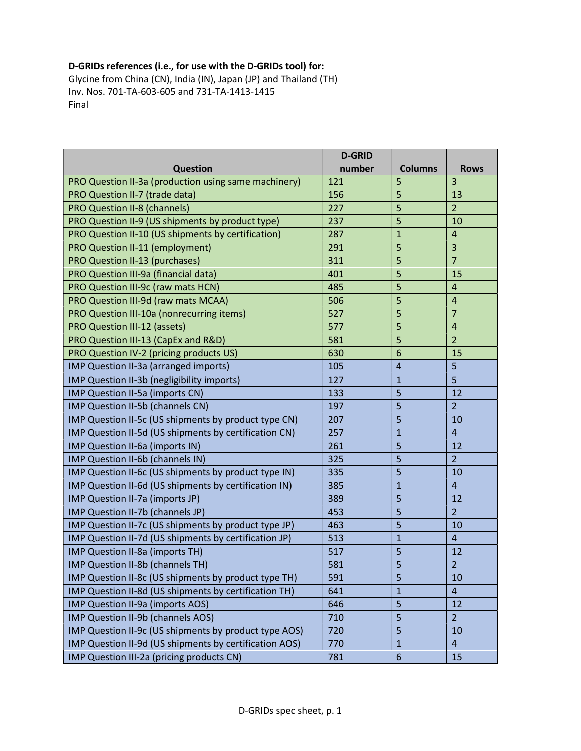## D-GRIDs references (i.e., for use with the D-GRIDs tool) for:

Glycine from China (CN), India (IN), Japan (JP) and Thailand (TH) Inv. Nos. 701-TA-603-605 and 731-TA-1413-1415 Final

|                                                        | <b>D-GRID</b> |                 |                         |
|--------------------------------------------------------|---------------|-----------------|-------------------------|
| <b>Question</b>                                        | number        | <b>Columns</b>  | <b>Rows</b>             |
| PRO Question II-3a (production using same machinery)   | 121           | 5               | $\overline{3}$          |
| PRO Question II-7 (trade data)                         | 156           | 5               | 13                      |
| <b>PRO Question II-8 (channels)</b>                    | 227           | 5               | $\overline{2}$          |
| PRO Question II-9 (US shipments by product type)       | 237           | 5               | 10                      |
| PRO Question II-10 (US shipments by certification)     | 287           | $\mathbf{1}$    | $\overline{4}$          |
| PRO Question II-11 (employment)                        | 291           | 5               | $\overline{3}$          |
| PRO Question II-13 (purchases)                         | 311           | 5               | $\overline{7}$          |
| PRO Question III-9a (financial data)                   | 401           | 5               | 15                      |
| PRO Question III-9c (raw mats HCN)                     | 485           | 5               | $\overline{\mathbf{4}}$ |
| PRO Question III-9d (raw mats MCAA)                    | 506           | 5               | $\overline{4}$          |
| PRO Question III-10a (nonrecurring items)              | 527           | 5               | $\overline{7}$          |
| PRO Question III-12 (assets)                           | 577           | 5               | $\overline{4}$          |
| PRO Question III-13 (CapEx and R&D)                    | 581           | 5               | $\overline{2}$          |
| PRO Question IV-2 (pricing products US)                | 630           | 6               | 15                      |
| IMP Question II-3a (arranged imports)                  | 105           | $\overline{4}$  | 5                       |
| IMP Question II-3b (negligibility imports)             | 127           | $\mathbf{1}$    | 5                       |
| IMP Question II-5a (imports CN)                        | 133           | 5               | 12                      |
| IMP Question II-5b (channels CN)                       | 197           | 5               | $\overline{2}$          |
| IMP Question II-5c (US shipments by product type CN)   | 207           | 5               | 10                      |
| IMP Question II-5d (US shipments by certification CN)  | 257           | $\overline{1}$  | $\overline{4}$          |
| IMP Question II-6a (imports IN)                        | 261           | 5               | 12                      |
| IMP Question II-6b (channels IN)                       | 325           | 5               | $\overline{2}$          |
| IMP Question II-6c (US shipments by product type IN)   | 335           | 5               | 10                      |
| IMP Question II-6d (US shipments by certification IN)  | 385           | $\mathbf{1}$    | $\overline{4}$          |
| IMP Question II-7a (imports JP)                        | 389           | 5               | 12                      |
| IMP Question II-7b (channels JP)                       | 453           | 5               | $\overline{2}$          |
| IMP Question II-7c (US shipments by product type JP)   | 463           | 5               | 10                      |
| IMP Question II-7d (US shipments by certification JP)  | 513           | $\mathbf{1}$    | $\overline{4}$          |
| IMP Question II-8a (imports TH)                        | 517           | 5               | 12                      |
| IMP Question II-8b (channels TH)                       | 581           | 5               | $\overline{2}$          |
| IMP Question II-8c (US shipments by product type TH)   | 591           | 5               | 10                      |
| IMP Question II-8d (US shipments by certification TH)  | 641           | $\mathbf{1}$    | $\overline{4}$          |
| IMP Question II-9a (imports AOS)                       | 646           | 5               | 12                      |
| IMP Question II-9b (channels AOS)                      | 710           | 5               | $\overline{2}$          |
| IMP Question II-9c (US shipments by product type AOS)  | 720           | 5               | 10                      |
| IMP Question II-9d (US shipments by certification AOS) | 770           | $\mathbf 1$     | $\overline{4}$          |
| IMP Question III-2a (pricing products CN)              | 781           | $6\phantom{1}6$ | 15                      |